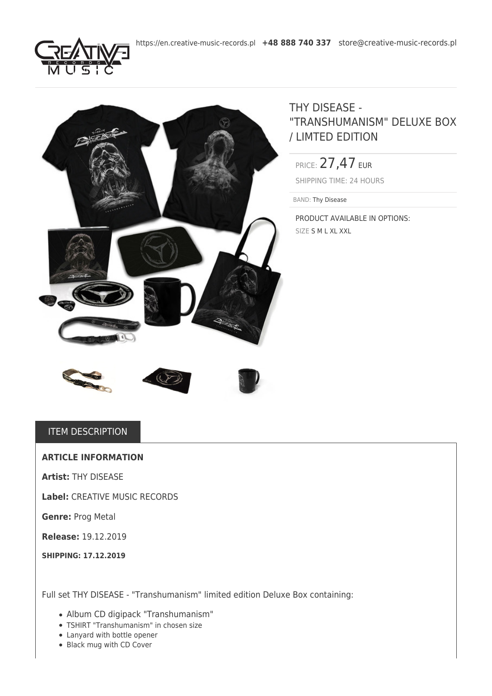



## THY DISEASE - "TRANSHUMANISM" DELUXE BOX / LIMTED EDITION

PRICE: 27,47 EUR SHIPPING TIME: 24 HOURS

BAND: Thy Disease

PRODUCT AVAILABLE IN OPTIONS: SIZE S M L XL XXL

## **ITEM DESCRIPTION**

## **ARTICLE INFORMATION**

**Artist:** THY DISEASE

**Label:** CREATIVE MUSIC RECORDS

**Genre:** Prog Metal

**Release:** 19.12.2019

**SHIPPING: 17.12.2019**

Full set THY DISEASE - "Transhumanism" limited edition Deluxe Box containing:

- Album CD digipack "Transhumanism"
- TSHIRT "Transhumanism" in chosen size
- Lanyard with bottle opener
- Black mug with CD Cover